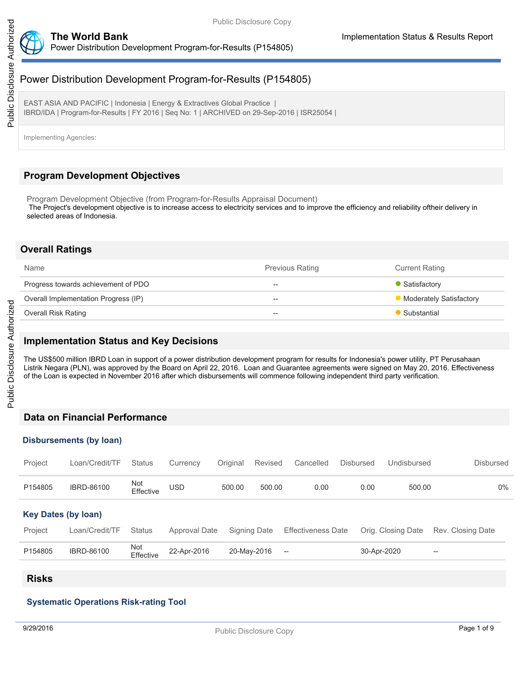

EAST ASIA AND PACIFIC | Indonesia | Energy & Extractives Global Practice | IBRD/IDA | Program-for-Results | FY 2016 | Seq No: 1 | ARCHIVED on 29-Sep-2016 | ISR25054 |

Implementing Agencies:

# **Program Development Objectives**

Program Development Objective (from Program-for-Results Appraisal Document) The Project's development objective is to increase access to electricity services and to improve the efficiency and reliability oftheir delivery in selected areas of Indonesia.

## **Overall Ratings**

| Name                                 | <b>Previous Rating</b> | <b>Current Rating</b>     |
|--------------------------------------|------------------------|---------------------------|
| Progress towards achievement of PDO  | $\hspace{0.05cm}$      | • Satisfactory            |
| Overall Implementation Progress (IP) | $- -$                  | • Moderately Satisfactory |
| Overall Risk Rating                  | $- -$                  | Substantial               |

## **Implementation Status and Key Decisions**

The US\$500 million IBRD Loan in support of a power distribution development program for results for Indonesia's power utility, PT Perusahaan Listrik Negara (PLN), was approved by the Board on April 22, 2016. Loan and Guarantee agreements were signed on May 20, 2016. Effectiveness of the Loan is expected in November 2016 after which disbursements will commence following independent third party verification.

## **Data on Financial Performance**

### **Disbursements (by loan)**

| Project                    | Loan/Credit/TF    | <b>Status</b>    | Currency      | Original | Revised      | Cancelled                 | <b>Disbursed</b> | Undisbursed        | <b>Disbursed</b>         |
|----------------------------|-------------------|------------------|---------------|----------|--------------|---------------------------|------------------|--------------------|--------------------------|
| P154805                    | <b>IBRD-86100</b> | Not<br>Effective | USD           | 500.00   | 500.00       | 0.00                      | 0.00             | 500.00             | $0\%$                    |
| <b>Key Dates (by loan)</b> |                   |                  |               |          |              |                           |                  |                    |                          |
| Project                    | Loan/Credit/TF    | <b>Status</b>    | Approval Date |          | Signing Date | <b>Effectiveness Date</b> |                  | Orig. Closing Date | Rev. Closing Date        |
| P154805                    | <b>IBRD-86100</b> | Not<br>Effective | 22-Apr-2016   |          | 20-May-2016  | $-\!$                     | 30-Apr-2020      |                    | $\overline{\phantom{m}}$ |

## **Risks**

### **Systematic Operations Risk-rating Tool**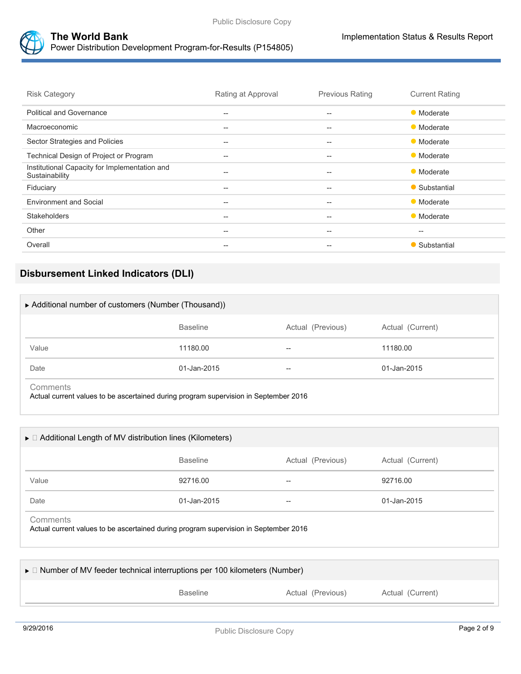



**The World Bank Implementation Status & Results Report** Power Distribution Development Program-for-Results (P154805)

| <b>Risk Category</b>                                            | Rating at Approval                                  | <b>Previous Rating</b>                              | <b>Current Rating</b> |
|-----------------------------------------------------------------|-----------------------------------------------------|-----------------------------------------------------|-----------------------|
| <b>Political and Governance</b>                                 | $\hspace{0.05cm} -\hspace{0.05cm} -\hspace{0.05cm}$ | $\hspace{0.05cm} -\hspace{0.05cm} -\hspace{0.05cm}$ | • Moderate            |
| Macroeconomic                                                   | $- -$                                               | $- -$                                               | • Moderate            |
| Sector Strategies and Policies                                  | $- -$                                               | $- -$                                               | • Moderate            |
| Technical Design of Project or Program                          | $- -$                                               | $- -$                                               | • Moderate            |
| Institutional Capacity for Implementation and<br>Sustainability | $- -$                                               | $- -$                                               | • Moderate            |
| Fiduciary                                                       | $\hspace{0.05cm} -\hspace{0.05cm} -\hspace{0.05cm}$ | --                                                  | • Substantial         |
| <b>Environment and Social</b>                                   | $- -$                                               | $- -$                                               | • Moderate            |
| <b>Stakeholders</b>                                             | --                                                  | --                                                  | • Moderate            |
| Other                                                           | $\hspace{0.05cm} -\hspace{0.05cm} -\hspace{0.05cm}$ | $\hspace{0.05cm} -\hspace{0.05cm} -\hspace{0.05cm}$ | $\hspace{0.05cm}$     |
| Overall                                                         | $- -$                                               | $- -$                                               | • Substantial         |

# **Disbursement Linked Indicators (DLI)**

| ▶ Additional number of customers (Number (Thousand)) |                 |                   |                  |  |
|------------------------------------------------------|-----------------|-------------------|------------------|--|
|                                                      | <b>Baseline</b> | Actual (Previous) | Actual (Current) |  |
| Value                                                | 11180.00        | $- -$             | 11180.00         |  |
| Date                                                 | 01-Jan-2015     | $-$               | 01-Jan-2015      |  |
| Comments                                             |                 |                   |                  |  |

Actual current values to be ascertained during program supervision in September 2016

| $\triangleright$ $\Box$ Additional Length of MV distribution lines (Kilometers) |                 |                   |                  |
|---------------------------------------------------------------------------------|-----------------|-------------------|------------------|
|                                                                                 | <b>Baseline</b> | Actual (Previous) | Actual (Current) |
| Value                                                                           | 92716.00        | --                | 92716.00         |
| Date                                                                            | 01-Jan-2015     | --                | 01-Jan-2015      |

| $\triangleright$ $\Box$ Number of MV feeder technical interruptions per 100 kilometers (Number) |                 |                   |                  |  |  |
|-------------------------------------------------------------------------------------------------|-----------------|-------------------|------------------|--|--|
|                                                                                                 | <b>Baseline</b> | Actual (Previous) | Actual (Current) |  |  |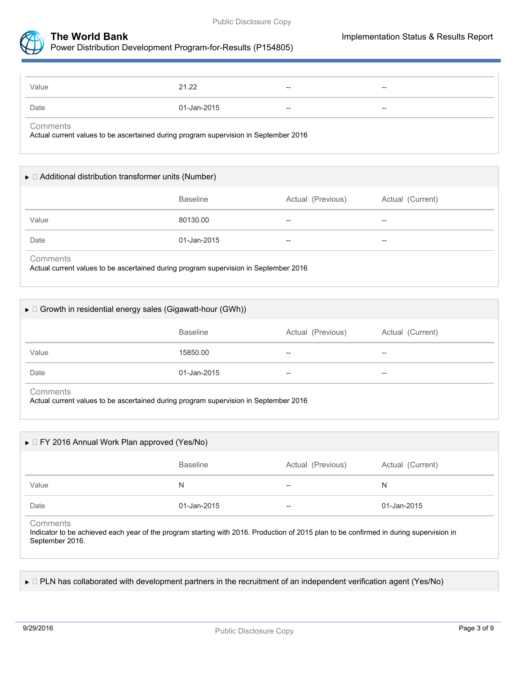



| Value | 21.22       | $- -$                    | $- -$ |
|-------|-------------|--------------------------|-------|
| Date  | 01-Jan-2015 | $\overline{\phantom{a}}$ | $- -$ |

**Comments** 

Actual current values to be ascertained during program supervision in September 2016

| $\triangleright$ $\Box$ Additional distribution transformer units (Number)                       |                 |                   |                  |  |  |
|--------------------------------------------------------------------------------------------------|-----------------|-------------------|------------------|--|--|
|                                                                                                  | <b>Baseline</b> | Actual (Previous) | Actual (Current) |  |  |
| Value                                                                                            | 80130.00        | --                | --               |  |  |
| Date                                                                                             | 01-Jan-2015     | --                | --               |  |  |
| Comments<br>Actual current values to be ascertained during program supervision in September 2016 |                 |                   |                  |  |  |

|                 | $\triangleright$ $\Box$ Growth in residential energy sales (Gigawatt-hour (GWh)) |                   |                  |  |
|-----------------|----------------------------------------------------------------------------------|-------------------|------------------|--|
|                 | <b>Baseline</b>                                                                  | Actual (Previous) | Actual (Current) |  |
| Value           | 15850.00                                                                         | --                | --               |  |
| Date            | 01-Jan-2015                                                                      | --                | $- -$            |  |
| <b>Comments</b> |                                                                                  |                   |                  |  |

Actual current values to be ascertained during program supervision in September 2016

| $\triangleright$ $\Box$ FY 2016 Annual Work Plan approved (Yes/No) |                 |                          |                  |  |
|--------------------------------------------------------------------|-----------------|--------------------------|------------------|--|
|                                                                    | <b>Baseline</b> | Actual (Previous)        | Actual (Current) |  |
| Value                                                              | N               | $\overline{\phantom{m}}$ | N                |  |
| Date                                                               | 01-Jan-2015     | $\overline{\phantom{m}}$ | 01-Jan-2015      |  |

**Comments** 

Indicator to be achieved each year of the program starting with 2016. Production of 2015 plan to be confirmed in during supervision in September 2016.

► □ PLN has collaborated with development partners in the recruitment of an independent verification agent (Yes/No)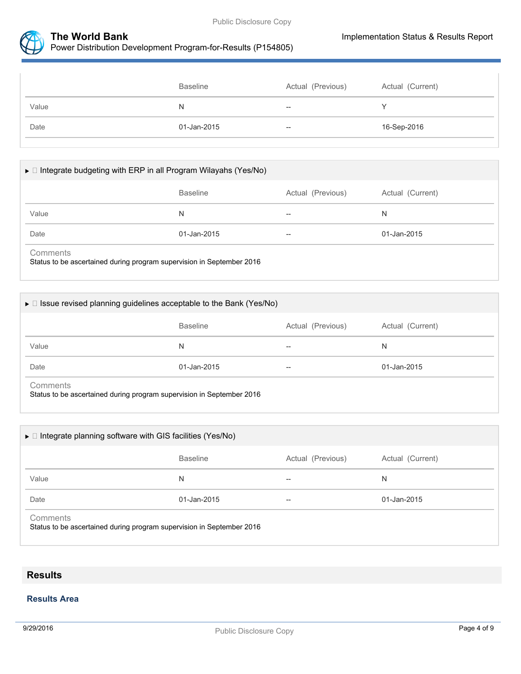



|       | <b>Baseline</b> | Actual (Previous) | Actual (Current) |
|-------|-----------------|-------------------|------------------|
| Value | N               | $- -$             |                  |
| Date  | 01-Jan-2015     | $- -$             | 16-Sep-2016      |

# $\blacktriangleright\Box$  Integrate budgeting with ERP in all Program Wilayahs (Yes/No)

|          | <b>Baseline</b>                                                               | Actual (Previous) | Actual (Current) |
|----------|-------------------------------------------------------------------------------|-------------------|------------------|
| Value    | N                                                                             | $\hspace{0.05cm}$ | N                |
| Date     | 01-Jan-2015                                                                   | $\hspace{0.05cm}$ | 01-Jan-2015      |
| Comments | Otative to be expended as distance and concern available to Operatorshap 0040 |                   |                  |

Status to be ascertained during program supervision in September 2016

|       | $\triangleright$ $\Box$ Issue revised planning guidelines acceptable to the Bank (Yes/No) |                   |                  |
|-------|-------------------------------------------------------------------------------------------|-------------------|------------------|
|       | <b>Baseline</b>                                                                           | Actual (Previous) | Actual (Current) |
| Value | N                                                                                         | $\hspace{0.05cm}$ | N                |
| Date  | 01-Jan-2015                                                                               | $- -$             | 01-Jan-2015      |

Status to be ascertained during program supervision in September 2016

|          | $\triangleright$ $\Box$ Integrate planning software with GIS facilities (Yes/No) |                   |                  |
|----------|----------------------------------------------------------------------------------|-------------------|------------------|
|          | <b>Baseline</b>                                                                  | Actual (Previous) | Actual (Current) |
| Value    | N                                                                                | $- -$             | N                |
| Date     | 01-Jan-2015                                                                      | --                | 01-Jan-2015      |
| Comments | Status to be ascertained during program supervision in September 2016            |                   |                  |

# **Results**

### **Results Area**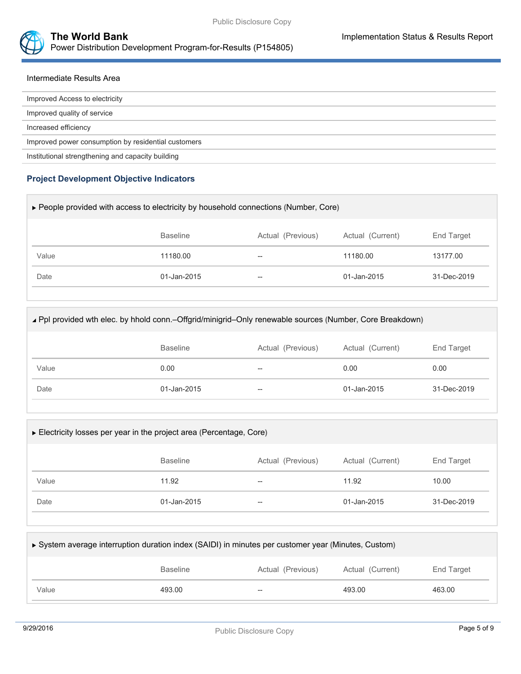



### Intermediate Results Area

| Improved Access to electricity                      |
|-----------------------------------------------------|
| Improved quality of service                         |
| Increased efficiency                                |
| Improved power consumption by residential customers |
| Institutional strengthening and capacity building   |

# **Project Development Objective Indicators**

| ► People provided with access to electricity by household connections (Number, Core) |                 |                   |                  |             |  |
|--------------------------------------------------------------------------------------|-----------------|-------------------|------------------|-------------|--|
|                                                                                      | <b>Baseline</b> | Actual (Previous) | Actual (Current) | End Target  |  |
| Value                                                                                | 11180.00        |                   | 11180.00         | 13177.00    |  |
| Date                                                                                 | 01-Jan-2015     | --                | 01-Jan-2015      | 31-Dec-2019 |  |
|                                                                                      |                 |                   |                  |             |  |

| ⊾ Ppl provided wth elec. by hhold conn.-Offgrid/minigrid-Only renewable sources (Number, Core Breakdown) |                 |                   |                  |             |  |
|----------------------------------------------------------------------------------------------------------|-----------------|-------------------|------------------|-------------|--|
|                                                                                                          | <b>Baseline</b> | Actual (Previous) | Actual (Current) | End Target  |  |
| Value                                                                                                    | 0.00            | --                | 0.00             | 0.00        |  |
| Date                                                                                                     | 01-Jan-2015     | $-$               | $01 -$ Jan-2015  | 31-Dec-2019 |  |
|                                                                                                          |                 |                   |                  |             |  |

| Electricity losses per year in the project area (Percentage, Core) |                 |                   |                  |                   |  |  |
|--------------------------------------------------------------------|-----------------|-------------------|------------------|-------------------|--|--|
|                                                                    | <b>Baseline</b> | Actual (Previous) | Actual (Current) | <b>End Target</b> |  |  |
| Value                                                              | 11.92           | $-$               | 11.92            | 10.00             |  |  |
| Date                                                               | 01-Jan-2015     | $-$               | 01-Jan-2015      | 31-Dec-2019       |  |  |
|                                                                    |                 |                   |                  |                   |  |  |

| ► System average interruption duration index (SAIDI) in minutes per customer year (Minutes, Custom) |                 |                   |                  |            |  |
|-----------------------------------------------------------------------------------------------------|-----------------|-------------------|------------------|------------|--|
|                                                                                                     | <b>Baseline</b> | Actual (Previous) | Actual (Current) | End Target |  |
| Value                                                                                               | 493.00          | $-$               | 493.00           | 463.00     |  |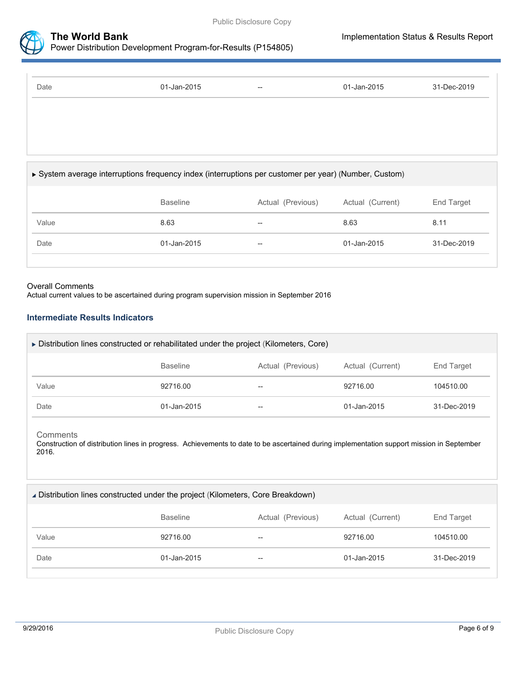



| Date                                                                                                  | 01-Jan-2015     | $\hspace{0.05cm} -\hspace{0.05cm} -\hspace{0.05cm}$ | 01-Jan-2015      | 31-Dec-2019 |
|-------------------------------------------------------------------------------------------------------|-----------------|-----------------------------------------------------|------------------|-------------|
|                                                                                                       |                 |                                                     |                  |             |
|                                                                                                       |                 |                                                     |                  |             |
|                                                                                                       |                 |                                                     |                  |             |
| ► System average interruptions frequency index (interruptions per customer per year) (Number, Custom) |                 |                                                     |                  |             |
|                                                                                                       | <b>Baseline</b> | Actual (Previous)                                   | Actual (Current) | End Target  |
| Value                                                                                                 | 8.63            |                                                     | 8.63             | 8.11        |
| Date                                                                                                  | 01-Jan-2015     |                                                     | 01-Jan-2015      | 31-Dec-2019 |
|                                                                                                       |                 |                                                     |                  |             |

#### Overall Comments

Actual current values to be ascertained during program supervision mission in September 2016

#### **Intermediate Results Indicators**

| $\triangleright$ Distribution lines constructed or rehabilitated under the project (Kilometers, Core) |                 |                   |                  |             |  |
|-------------------------------------------------------------------------------------------------------|-----------------|-------------------|------------------|-------------|--|
|                                                                                                       | <b>Baseline</b> | Actual (Previous) | Actual (Current) | End Target  |  |
| Value                                                                                                 | 92716.00        | --                | 92716.00         | 104510.00   |  |
| Date                                                                                                  | 01-Jan-2015     | --                | 01-Jan-2015      | 31-Dec-2019 |  |

#### **Comments**

Construction of distribution lines in progress. Achievements to date to be ascertained during implementation support mission in September 2016.

Distribution lines constructed under the project (Kilometers, Core Breakdown)

|       | <b>Baseline</b> | Actual (Previous)        | Actual (Current) | End Target  |
|-------|-----------------|--------------------------|------------------|-------------|
| Value | 92716.00        | $--$                     | 92716.00         | 104510.00   |
| Date  | 01-Jan-2015     | $\overline{\phantom{m}}$ | 01-Jan-2015      | 31-Dec-2019 |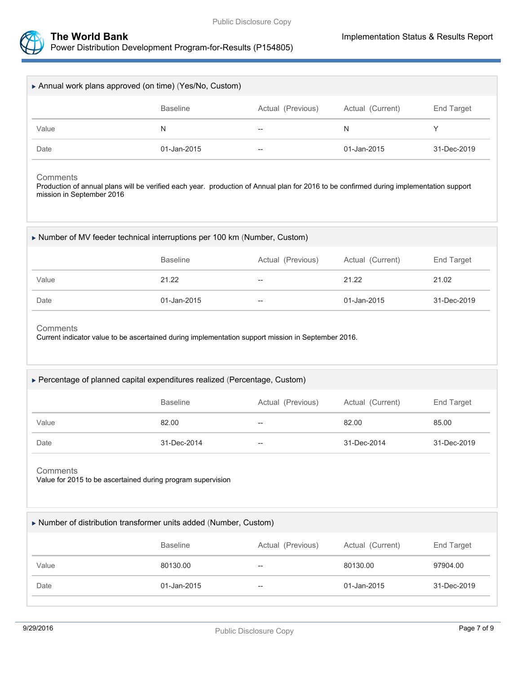

n



| Annual work plans approved (on time) (Yes/No, Custom)                                                                                                                            |                                                                                                                   |                          |                  |             |  |  |
|----------------------------------------------------------------------------------------------------------------------------------------------------------------------------------|-------------------------------------------------------------------------------------------------------------------|--------------------------|------------------|-------------|--|--|
|                                                                                                                                                                                  | <b>Baseline</b>                                                                                                   | Actual (Previous)        | Actual (Current) | End Target  |  |  |
| Value                                                                                                                                                                            | N                                                                                                                 | $\overline{\phantom{a}}$ | $\mathsf{N}$     | Y           |  |  |
| Date                                                                                                                                                                             | 01-Jan-2015                                                                                                       |                          | 01-Jan-2015      | 31-Dec-2019 |  |  |
| Comments<br>Production of annual plans will be verified each year. production of Annual plan for 2016 to be confirmed during implementation support<br>mission in September 2016 |                                                                                                                   |                          |                  |             |  |  |
|                                                                                                                                                                                  | Number of MV feeder technical interruptions per 100 km (Number, Custom)                                           |                          |                  |             |  |  |
|                                                                                                                                                                                  | <b>Baseline</b>                                                                                                   | Actual (Previous)        | Actual (Current) | End Target  |  |  |
| Value                                                                                                                                                                            | 21.22                                                                                                             |                          | 21.22            | 21.02       |  |  |
|                                                                                                                                                                                  |                                                                                                                   |                          |                  |             |  |  |
| Date<br>Comments                                                                                                                                                                 | 01-Jan-2015<br>Current indicator value to be ascertained during implementation support mission in September 2016. |                          | 01-Jan-2015      | 31-Dec-2019 |  |  |
|                                                                                                                                                                                  | ▶ Percentage of planned capital expenditures realized (Percentage, Custom)<br><b>Baseline</b>                     | Actual (Previous)        | Actual (Current) | End Target  |  |  |
| Value                                                                                                                                                                            | 82.00                                                                                                             |                          | 82.00            | 85.00       |  |  |
| Date                                                                                                                                                                             | 31-Dec-2014                                                                                                       |                          | 31-Dec-2014      | 31-Dec-2019 |  |  |
| Comments                                                                                                                                                                         | Value for 2015 to be ascertained during program supervision                                                       |                          |                  |             |  |  |
|                                                                                                                                                                                  | Number of distribution transformer units added (Number, Custom)                                                   |                          |                  |             |  |  |
|                                                                                                                                                                                  | <b>Baseline</b>                                                                                                   | Actual (Previous)        | Actual (Current) | End Target  |  |  |
| Value                                                                                                                                                                            | 80130.00                                                                                                          | $-\!$                    | 80130.00         | 97904.00    |  |  |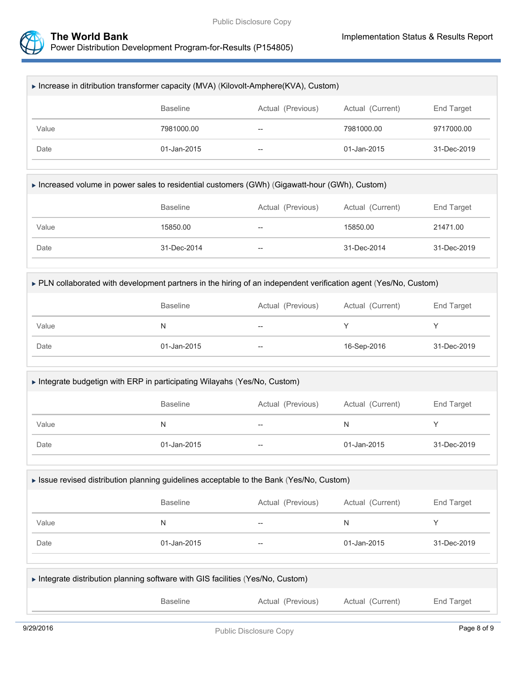

| Increase in ditribution transformer capacity (MVA) (Kilovolt-Amphere(KVA), Custom) |                 |                          |                   |             |  |
|------------------------------------------------------------------------------------|-----------------|--------------------------|-------------------|-------------|--|
|                                                                                    | <b>Baseline</b> | Actual (Previous)        | Actual (Current)  | End Target  |  |
| Value                                                                              | 7981000.00      | $- -$                    | 7981000.00        | 9717000.00  |  |
| Date                                                                               | 01-Jan-2015     | $\overline{\phantom{m}}$ | $01 - Jan - 2015$ | 31-Dec-2019 |  |

|  | ► Increased volume in power sales to residential customers (GWh) (Gigawatt-hour (GWh), Custom) |  |
|--|------------------------------------------------------------------------------------------------|--|
|--|------------------------------------------------------------------------------------------------|--|

|       | Baseline    | Actual (Previous)        | Actual (Current) | End Target  |
|-------|-------------|--------------------------|------------------|-------------|
| Value | 15850.00    | $\overline{\phantom{m}}$ | 15850.00         | 21471.00    |
| Date  | 31-Dec-2014 | $\overline{\phantom{m}}$ | 31-Dec-2014      | 31-Dec-2019 |
|       |             |                          |                  |             |

#### PLN collaborated with development partners in the hiring of an independent verification agent (Yes/No, Custom)

|       | <b>Baseline</b> | Actual (Previous) | Actual (Current) | End Target  |
|-------|-----------------|-------------------|------------------|-------------|
| Value | N               | $- -$             |                  |             |
| Date  | 01-Jan-2015     | $- -$             | 16-Sep-2016      | 31-Dec-2019 |

## Integrate budgetign with ERP in participating Wilayahs (Yes/No, Custom)

|       | <b>Baseline</b> | Actual (Previous) | Actual (Current) | End Target  |
|-------|-----------------|-------------------|------------------|-------------|
| Value | N               | $- -$             | N                |             |
| Date  | 01-Jan-2015     | $--$              | 01-Jan-2015      | 31-Dec-2019 |

#### Issue revised distribution planning guidelines acceptable to the Bank (Yes/No, Custom)

|       | <b>Baseline</b> | Actual (Previous) | Actual (Current) | End Target  |
|-------|-----------------|-------------------|------------------|-------------|
| Value | N               | $- -$             | N                |             |
| Date  | 01-Jan-2015     | $- -$             | 01-Jan-2015      | 31-Dec-2019 |

| Integrate distribution planning software with GIS facilities (Yes/No, Custom) |                 |                   |                  |            |
|-------------------------------------------------------------------------------|-----------------|-------------------|------------------|------------|
|                                                                               | <b>Baseline</b> | Actual (Previous) | Actual (Current) | End Target |